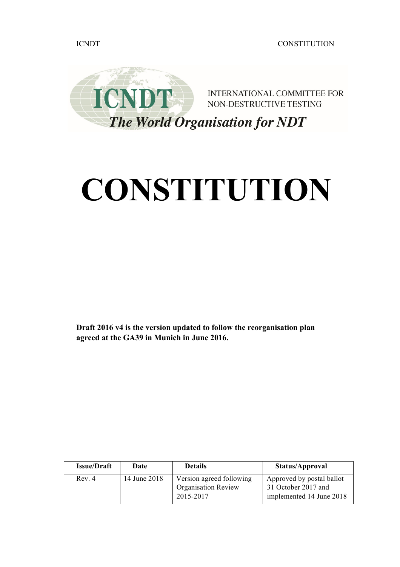

# **CONSTITUTION**

**Draft 2016 v4 is the version updated to follow the reorganisation plan agreed at the GA39 in Munich in June 2016.** 

| <b>Issue/Draft</b> | Date         | <b>Details</b>                                                      | Status/Approval                                                              |
|--------------------|--------------|---------------------------------------------------------------------|------------------------------------------------------------------------------|
| Rev. 4             | 14 June 2018 | Version agreed following<br><b>Organisation Review</b><br>2015-2017 | Approved by postal ballot<br>31 October 2017 and<br>implemented 14 June 2018 |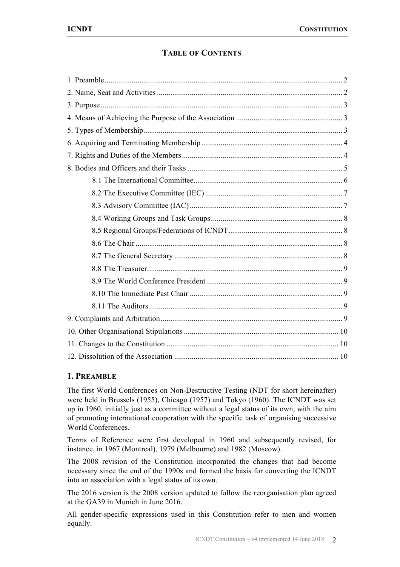# **TABLE OF CONTENTS**

# **1. PREAMBLE**

The first World Conferences on Non-Destructive Testing (NDT for short hereinafter) were held in Brussels (1955), Chicago (1957) and Tokyo (1960). The ICNDT was set up in 1960, initially just as a committee without a legal status of its own, with the aim of promoting international cooperation with the specific task of organising successive World Conferences.

Terms of Reference were first developed in 1960 and subsequently revised, for instance, in 1967 (Montreal), 1979 (Melbourne) and 1982 (Moscow).

The 2008 revision of the Constitution incorporated the changes that had become necessary since the end of the 1990s and formed the basis for converting the ICNDT into an association with a legal status of its own.

The 2016 version is the 2008 version updated to follow the reorganisation plan agreed at the GA39 in Munich in June 2016.

All gender-specific expressions used in this Constitution refer to men and women equally.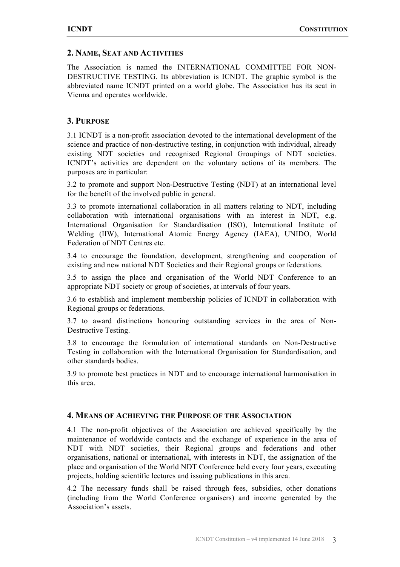#### **2. NAME, SEAT AND ACTIVITIES**

The Association is named the INTERNATIONAL COMMITTEE FOR NON-DESTRUCTIVE TESTING. Its abbreviation is ICNDT. The graphic symbol is the abbreviated name ICNDT printed on a world globe. The Association has its seat in Vienna and operates worldwide.

#### **3. PURPOSE**

3.1 ICNDT is a non-profit association devoted to the international development of the science and practice of non-destructive testing, in conjunction with individual, already existing NDT societies and recognised Regional Groupings of NDT societies. ICNDT's activities are dependent on the voluntary actions of its members. The purposes are in particular:

3.2 to promote and support Non-Destructive Testing (NDT) at an international level for the benefit of the involved public in general.

3.3 to promote international collaboration in all matters relating to NDT, including collaboration with international organisations with an interest in NDT, e.g. International Organisation for Standardisation (ISO), International Institute of Welding (IIW), International Atomic Energy Agency (IAEA), UNIDO, World Federation of NDT Centres etc.

3.4 to encourage the foundation, development, strengthening and cooperation of existing and new national NDT Societies and their Regional groups or federations.

3.5 to assign the place and organisation of the World NDT Conference to an appropriate NDT society or group of societies, at intervals of four years.

3.6 to establish and implement membership policies of ICNDT in collaboration with Regional groups or federations.

3.7 to award distinctions honouring outstanding services in the area of Non-Destructive Testing.

3.8 to encourage the formulation of international standards on Non-Destructive Testing in collaboration with the International Organisation for Standardisation, and other standards bodies.

3.9 to promote best practices in NDT and to encourage international harmonisation in this area.

# **4. MEANS OF ACHIEVING THE PURPOSE OF THE ASSOCIATION**

4.1 The non-profit objectives of the Association are achieved specifically by the maintenance of worldwide contacts and the exchange of experience in the area of NDT with NDT societies, their Regional groups and federations and other organisations, national or international, with interests in NDT, the assignation of the place and organisation of the World NDT Conference held every four years, executing projects, holding scientific lectures and issuing publications in this area.

4.2 The necessary funds shall be raised through fees, subsidies, other donations (including from the World Conference organisers) and income generated by the Association's assets.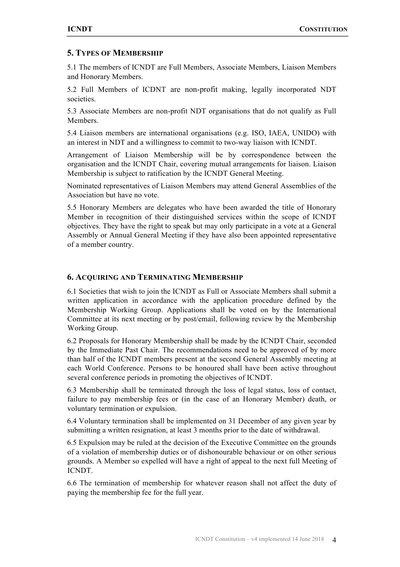# **5. TYPES OF MEMBERSHIP**

5.1 The members of ICNDT are Full Members, Associate Members, Liaison Members and Honorary Members.

5.2 Full Members of ICDNT are non-profit making, legally incorporated NDT societies.

5.3 Associate Members are non-profit NDT organisations that do not qualify as Full Members.

5.4 Liaison members are international organisations (e.g. ISO, IAEA, UNIDO) with an interest in NDT and a willingness to commit to two-way liaison with ICNDT.

Arrangement of Liaison Membership will be by correspondence between the organisation and the ICNDT Chair, covering mutual arrangements for liaison. Liaison Membership is subject to ratification by the ICNDT General Meeting.

Nominated representatives of Liaison Members may attend General Assemblies of the Association but have no vote.

5.5 Honorary Members are delegates who have been awarded the title of Honorary Member in recognition of their distinguished services within the scope of ICNDT objectives. They have the right to speak but may only participate in a vote at a General Assembly or Annual General Meeting if they have also been appointed representative of a member country.

## **6. ACQUIRING AND TERMINATING MEMBERSHIP**

6.1 Societies that wish to join the ICNDT as Full or Associate Members shall submit a written application in accordance with the application procedure defined by the Membership Working Group. Applications shall be voted on by the International Committee at its next meeting or by post/email, following review by the Membership Working Group.

6.2 Proposals for Honorary Membership shall be made by the ICNDT Chair, seconded by the Immediate Past Chair. The recommendations need to be approved of by more than half of the ICNDT members present at the second General Assembly meeting at each World Conference. Persons to be honoured shall have been active throughout several conference periods in promoting the objectives of ICNDT.

6.3 Membership shall be terminated through the loss of legal status, loss of contact, failure to pay membership fees or (in the case of an Honorary Member) death, or voluntary termination or expulsion.

6.4 Voluntary termination shall be implemented on 31 December of any given year by submitting a written resignation, at least 3 months prior to the date of withdrawal.

6.5 Expulsion may be ruled at the decision of the Executive Committee on the grounds of a violation of membership duties or of dishonourable behaviour or on other serious grounds. A Member so expelled will have a right of appeal to the next full Meeting of ICNDT.

6.6 The termination of membership for whatever reason shall not affect the duty of paying the membership fee for the full year.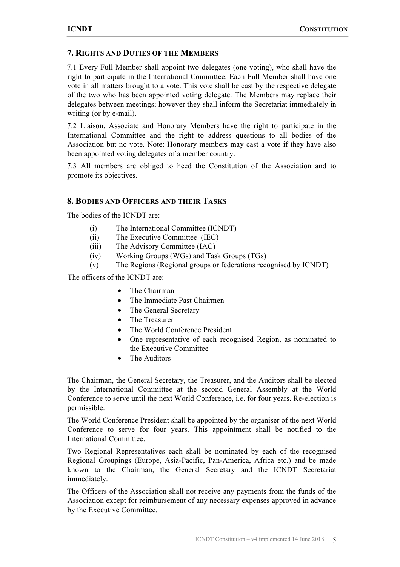# **7. RIGHTS AND DUTIES OF THE MEMBERS**

7.1 Every Full Member shall appoint two delegates (one voting), who shall have the right to participate in the International Committee. Each Full Member shall have one vote in all matters brought to a vote. This vote shall be cast by the respective delegate of the two who has been appointed voting delegate. The Members may replace their delegates between meetings; however they shall inform the Secretariat immediately in writing (or by e-mail).

7.2 Liaison, Associate and Honorary Members have the right to participate in the International Committee and the right to address questions to all bodies of the Association but no vote. Note: Honorary members may cast a vote if they have also been appointed voting delegates of a member country.

7.3 All members are obliged to heed the Constitution of the Association and to promote its objectives.

## **8. BODIES AND OFFICERS AND THEIR TASKS**

The bodies of the ICNDT are:

- (i) The International Committee (ICNDT)
- (ii) The Executive Committee (IEC)
- (iii) The Advisory Committee (IAC)
- (iv) Working Groups (WGs) and Task Groups (TGs)
- (v) The Regions (Regional groups or federations recognised by ICNDT)

The officers of the ICNDT are:

- The Chairman
- The Immediate Past Chairmen
- The General Secretary
- The Treasurer
- The World Conference President
- One representative of each recognised Region, as nominated to the Executive Committee
- The Auditors

The Chairman, the General Secretary, the Treasurer, and the Auditors shall be elected by the International Committee at the second General Assembly at the World Conference to serve until the next World Conference, i.e. for four years. Re-election is permissible.

The World Conference President shall be appointed by the organiser of the next World Conference to serve for four years. This appointment shall be notified to the International Committee.

Two Regional Representatives each shall be nominated by each of the recognised Regional Groupings (Europe, Asia-Pacific, Pan-America, Africa etc.) and be made known to the Chairman, the General Secretary and the ICNDT Secretariat immediately.

The Officers of the Association shall not receive any payments from the funds of the Association except for reimbursement of any necessary expenses approved in advance by the Executive Committee.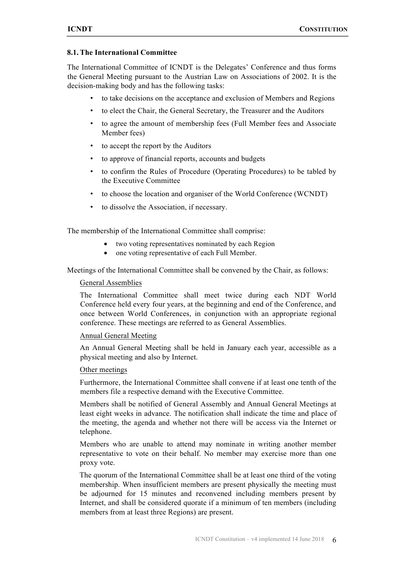#### **8.1. The International Committee**

The International Committee of ICNDT is the Delegates' Conference and thus forms the General Meeting pursuant to the Austrian Law on Associations of 2002. It is the decision-making body and has the following tasks:

- to take decisions on the acceptance and exclusion of Members and Regions
- to elect the Chair, the General Secretary, the Treasurer and the Auditors
- to agree the amount of membership fees (Full Member fees and Associate Member fees)
- to accept the report by the Auditors
- to approve of financial reports, accounts and budgets
- to confirm the Rules of Procedure (Operating Procedures) to be tabled by the Executive Committee
- to choose the location and organiser of the World Conference (WCNDT)
- to dissolve the Association, if necessary.

The membership of the International Committee shall comprise:

- two voting representatives nominated by each Region
- one voting representative of each Full Member.

Meetings of the International Committee shall be convened by the Chair, as follows:

#### General Assemblies

The International Committee shall meet twice during each NDT World Conference held every four years, at the beginning and end of the Conference, and once between World Conferences, in conjunction with an appropriate regional conference. These meetings are referred to as General Assemblies.

#### Annual General Meeting

An Annual General Meeting shall be held in January each year, accessible as a physical meeting and also by Internet.

#### Other meetings

Furthermore, the International Committee shall convene if at least one tenth of the members file a respective demand with the Executive Committee.

Members shall be notified of General Assembly and Annual General Meetings at least eight weeks in advance. The notification shall indicate the time and place of the meeting, the agenda and whether not there will be access via the Internet or telephone.

Members who are unable to attend may nominate in writing another member representative to vote on their behalf. No member may exercise more than one proxy vote.

The quorum of the International Committee shall be at least one third of the voting membership. When insufficient members are present physically the meeting must be adjourned for 15 minutes and reconvened including members present by Internet, and shall be considered quorate if a minimum of ten members (including members from at least three Regions) are present.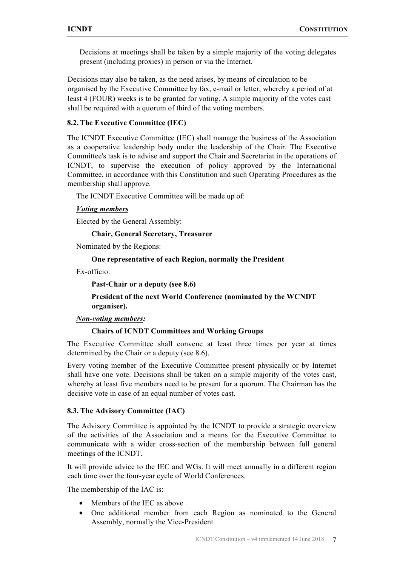Decisions at meetings shall be taken by a simple majority of the voting delegates present (including proxies) in person or via the Internet.

Decisions may also be taken, as the need arises, by means of circulation to be organised by the Executive Committee by fax, e-mail or letter, whereby a period of at least 4 (FOUR) weeks is to be granted for voting. A simple majority of the votes cast shall be required with a quorum of third of the voting members.

#### **8.2. The Executive Committee (IEC)**

The ICNDT Executive Committee (IEC) shall manage the business of the Association as a cooperative leadership body under the leadership of the Chair. The Executive Committee's task is to advise and support the Chair and Secretariat in the operations of ICNDT, to supervise the execution of policy approved by the International Committee, in accordance with this Constitution and such Operating Procedures as the membership shall approve.

The ICNDT Executive Committee will be made up of:

#### *Voting members*

Elected by the General Assembly:

#### **Chair, General Secretary, Treasurer**

Nominated by the Regions:

#### **One representative of each Region, normally the President**

Ex-officio:

**Past-Chair or a deputy (see 8.6)**

**President of the next World Conference (nominated by the WCNDT organiser).**

#### *Non-voting members:*

#### **Chairs of ICNDT Committees and Working Groups**

The Executive Committee shall convene at least three times per year at times determined by the Chair or a deputy (see 8.6).

Every voting member of the Executive Committee present physically or by Internet shall have one vote. Decisions shall be taken on a simple majority of the votes cast, whereby at least five members need to be present for a quorum. The Chairman has the decisive vote in case of an equal number of votes cast.

#### **8.3. The Advisory Committee (IAC)**

The Advisory Committee is appointed by the ICNDT to provide a strategic overview of the activities of the Association and a means for the Executive Committee to communicate with a wider cross-section of the membership between full general meetings of the ICNDT.

It will provide advice to the IEC and WGs. It will meet annually in a different region each time over the four-year cycle of World Conferences.

The membership of the IAC is:

- Members of the IEC as above
- One additional member from each Region as nominated to the General Assembly, normally the Vice-President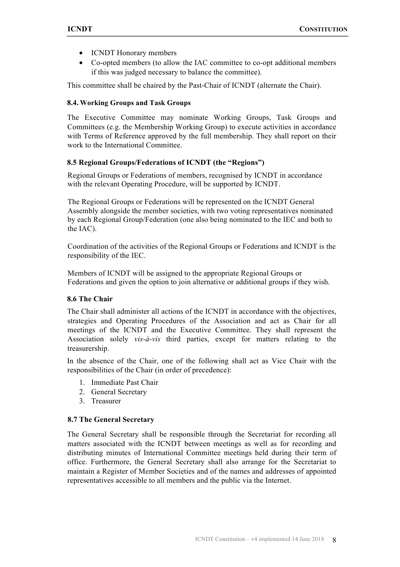- ICNDT Honorary members
- Co-opted members (to allow the IAC committee to co-opt additional members if this was judged necessary to balance the committee).

This committee shall be chaired by the Past-Chair of ICNDT (alternate the Chair).

#### **8.4. Working Groups and Task Groups**

The Executive Committee may nominate Working Groups, Task Groups and Committees (e.g. the Membership Working Group) to execute activities in accordance with Terms of Reference approved by the full membership. They shall report on their work to the International Committee.

#### **8.5 Regional Groups/Federations of ICNDT (the "Regions")**

Regional Groups or Federations of members, recognised by ICNDT in accordance with the relevant Operating Procedure, will be supported by ICNDT.

The Regional Groups or Federations will be represented on the ICNDT General Assembly alongside the member societies, with two voting representatives nominated by each Regional Group/Federation (one also being nominated to the IEC and both to the IAC).

Coordination of the activities of the Regional Groups or Federations and ICNDT is the responsibility of the IEC.

Members of ICNDT will be assigned to the appropriate Regional Groups or Federations and given the option to join alternative or additional groups if they wish.

#### **8.6 The Chair**

The Chair shall administer all actions of the ICNDT in accordance with the objectives, strategies and Operating Procedures of the Association and act as Chair for all meetings of the ICNDT and the Executive Committee. They shall represent the Association solely *vis-à-vis* third parties, except for matters relating to the treasurership.

In the absence of the Chair, one of the following shall act as Vice Chair with the responsibilities of the Chair (in order of precedence):

- 1. Immediate Past Chair
- 2. General Secretary
- 3. Treasurer

#### **8.7 The General Secretary**

The General Secretary shall be responsible through the Secretariat for recording all matters associated with the ICNDT between meetings as well as for recording and distributing minutes of International Committee meetings held during their term of office. Furthermore, the General Secretary shall also arrange for the Secretariat to maintain a Register of Member Societies and of the names and addresses of appointed representatives accessible to all members and the public via the Internet.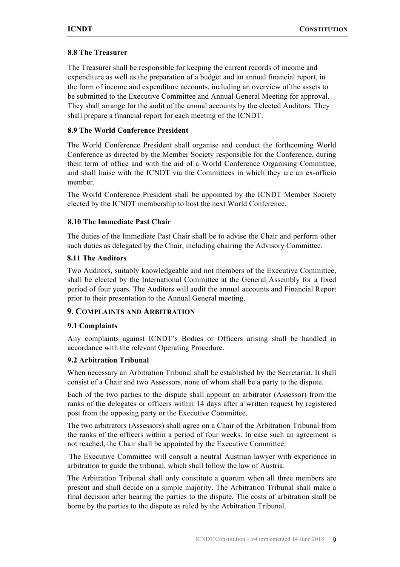#### **8.8 The Treasurer**

The Treasurer shall be responsible for keeping the current records of income and expenditure as well as the preparation of a budget and an annual financial report, in the form of income and expenditure accounts, including an overview of the assets to be submitted to the Executive Committee and Annual General Meeting for approval. They shall arrange for the audit of the annual accounts by the elected Auditors. They shall prepare a financial report for each meeting of the ICNDT.

## **8.9 The World Conference President**

The World Conference President shall organise and conduct the forthcoming World Conference as directed by the Member Society responsible for the Conference, during their term of office and with the aid of a World Conference Organising Committee, and shall liaise with the ICNDT via the Committees in which they are an ex-officio member.

The World Conference President shall be appointed by the ICNDT Member Society elected by the ICNDT membership to host the next World Conference.

## **8.10 The Immediate Past Chair**

The duties of the Immediate Past Chair shall be to advise the Chair and perform other such duties as delegated by the Chair, including chairing the Advisory Committee.

#### **8.11 The Auditors**

Two Auditors, suitably knowledgeable and not members of the Executive Committee, shall be elected by the International Committee at the General Assembly for a fixed period of four years. The Auditors will audit the annual accounts and Financial Report prior to their presentation to the Annual General meeting.

#### **9. COMPLAINTS AND ARBITRATION**

#### **9.1 Complaints**

Any complaints against ICNDT's Bodies or Officers arising shall be handled in accordance with the relevant Operating Procedure.

#### **9.2 Arbitration Tribunal**

When necessary an Arbitration Tribunal shall be established by the Secretariat. It shall consist of a Chair and two Assessors, none of whom shall be a party to the dispute.

Each of the two parties to the dispute shall appoint an arbitrator (Assessor) from the ranks of the delegates or officers within 14 days after a written request by registered post from the opposing party or the Executive Committee.

The two arbitrators (Assessors) shall agree on a Chair of the Arbitration Tribunal from the ranks of the officers within a period of four weeks. In case such an agreement is not reached, the Chair shall be appointed by the Executive Committee.

The Executive Committee will consult a neutral Austrian lawyer with experience in arbitration to guide the tribunal, which shall follow the law of Austria.

The Arbitration Tribunal shall only constitute a quorum when all three members are present and shall decide on a simple majority. The Arbitration Tribunal shall make a final decision after hearing the parties to the dispute. The costs of arbitration shall be borne by the parties to the dispute as ruled by the Arbitration Tribunal.